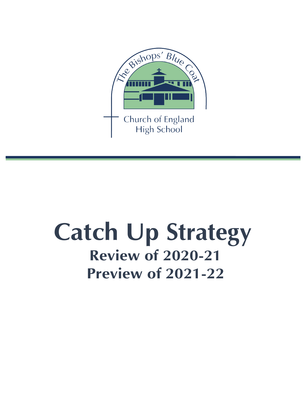

# **Catch Up Strategy Review of 2020-21 Preview of 2021-22**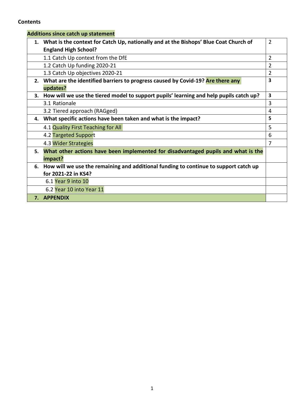#### **Contents**

|    | <b>Additions since catch up statement</b>                                                 |                |
|----|-------------------------------------------------------------------------------------------|----------------|
|    | 1. What is the context for Catch Up, nationally and at the Bishops' Blue Coat Church of   | $\overline{2}$ |
|    | <b>England High School?</b>                                                               |                |
|    | 1.1 Catch Up context from the DfE                                                         | $\overline{2}$ |
|    | 1.2 Catch Up funding 2020-21                                                              | $\overline{2}$ |
|    | 1.3 Catch Up objectives 2020-21                                                           | $\overline{2}$ |
|    | 2. What are the identified barriers to progress caused by Covid-19? Are there any         | 3              |
|    | updates?                                                                                  |                |
|    | 3. How will we use the tiered model to support pupils' learning and help pupils catch up? | 3              |
|    | 3.1 Rationale                                                                             | 3              |
|    | 3.2 Tiered approach (RAGged)                                                              | 4              |
|    | 4. What specific actions have been taken and what is the impact?                          | 5              |
|    | 4.1 Quality First Teaching for All                                                        | 5              |
|    | 4.2 Targeted Support                                                                      | 6              |
|    | 4.3 Wider Strategies                                                                      | 7              |
| 5. | What other actions have been implemented for disadvantaged pupils and what is the         |                |
|    | impact?                                                                                   |                |
| 6. | How will we use the remaining and additional funding to continue to support catch up      |                |
|    | for 2021-22 in KS4?                                                                       |                |
|    | 6.1 Year 9 into 10                                                                        |                |
|    | 6.2 Year 10 into Year 11                                                                  |                |
|    | 7. APPENDIX                                                                               |                |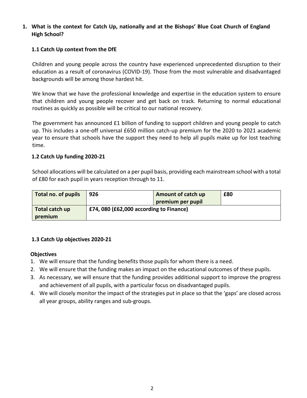#### **1. What is the context for Catch Up, nationally and at the Bishops' Blue Coat Church of England High School?**

#### **1.1 Catch Up context from the DfE**

Children and young people across the country have experienced unprecedented disruption to their education as a result of coronavirus (COVID-19). Those from the most vulnerable and disadvantaged backgrounds will be among those hardest hit.

We know that we have the professional knowledge and expertise in the education system to ensure that children and young people recover and get back on track. Returning to normal educational routines as quickly as possible will be critical to our national recovery.

The government has announced £1 billion of funding to support children and young people to catch up. This includes a one-off universal £650 million catch-up premium for the 2020 to 2021 academic year to ensure that schools have the support they need to help all pupils make up for lost teaching time.

#### **1.2 Catch Up funding 2020-21**

School allocations will be calculated on a per pupil basis, providing each mainstream school with a total of £80 for each pupil in years reception through to 11.

| Total no. of pupils | 926 | Amount of catch up                     | £80 |  |  |  |  |  |  |
|---------------------|-----|----------------------------------------|-----|--|--|--|--|--|--|
|                     |     | premium per pupil                      |     |  |  |  |  |  |  |
| Total catch up      |     | £74,080 (£62,000 according to Finance) |     |  |  |  |  |  |  |
| premium             |     |                                        |     |  |  |  |  |  |  |

#### **1.3 Catch Up objectives 2020-21**

#### **Objectives**

- 1. We will ensure that the funding benefits those pupils for whom there is a need.
- 2. We will ensure that the funding makes an impact on the educational outcomes of these pupils.
- 3. As necessary, we will ensure that the funding provides additional support to improve the progress and achievement of all pupils, with a particular focus on disadvantaged pupils.
- 4. We will closely monitor the impact of the strategies put in place so that the 'gaps' are closed across all year groups, ability ranges and sub-groups.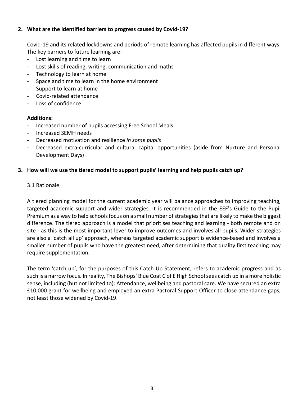#### **2. What are the identified barriers to progress caused by Covid-19?**

Covid-19 and its related lockdowns and periods of remote learning has affected pupils in different ways. The key barriers to future learning are:

- Lost learning and time to learn
- Lost skills of reading, writing, communication and maths
- Technology to learn at home
- Space and time to learn in the home environment
- Support to learn at home
- Covid-related attendance
- Loss of confidence

#### **Additions:**

- Increased number of pupils accessing Free School Meals
- Increased SEMH needs
- Decreased motivation and resilience *in some pupils*
- Decreased extra-curricular and cultural capital opportunities (aside from Nurture and Personal Development Days)

#### **3. How will we use the tiered model to support pupils' learning and help pupils catch up?**

#### 3.1 Rationale

A tiered planning model for the current academic year will balance approaches to improving teaching, targeted academic support and wider strategies. It is recommended in the EEF's Guide to the Pupil Premium as a way to help schools focus on a small number of strategies that are likely to make the biggest difference. The tiered approach is a model that prioritises teaching and learning - both remote and on site - as this is the most important lever to improve outcomes and involves all pupils. Wider strategies are also a 'catch all up' approach, whereas targeted academic support is evidence-based and involves a smaller number of pupils who have the greatest need, after determining that quality first teaching may require supplementation.

The term 'catch up', for the purposes of this Catch Up Statement, refers to academic progress and as such is a narrow focus. In reality, The Bishops' Blue Coat C of E High School sees catch up in a more holistic sense, including (but not limited to): Attendance, wellbeing and pastoral care. We have secured an extra £10,000 grant for wellbeing and employed an extra Pastoral Support Officer to close attendance gaps; not least those widened by Covid-19.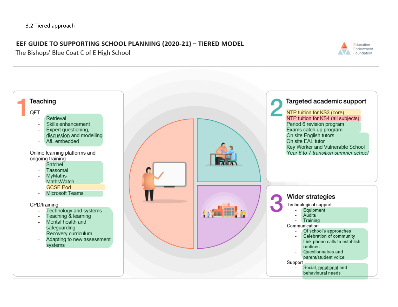## EEF GUIDE TO SUPPORTING SCHOOL PLANNING (2020-21) - TIERED MODEL

The Bishops' Blue Coat C of E High School



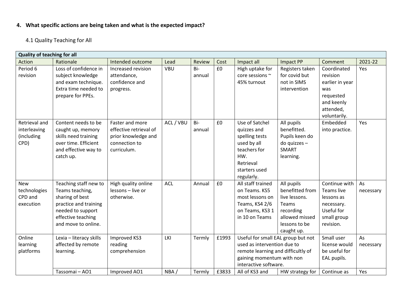### **4. What specific actions are being taken and what is the expected impact?**

4.1 Quality Teaching for All

| <b>Quality of teaching for all</b>                  |                                                                                                                                                        |                                                                                                  |             |                  |                |                                                                                                                                                                                 |                                                                                                                       |                                                                                                           |                        |
|-----------------------------------------------------|--------------------------------------------------------------------------------------------------------------------------------------------------------|--------------------------------------------------------------------------------------------------|-------------|------------------|----------------|---------------------------------------------------------------------------------------------------------------------------------------------------------------------------------|-----------------------------------------------------------------------------------------------------------------------|-----------------------------------------------------------------------------------------------------------|------------------------|
| Action                                              | Rationale                                                                                                                                              | Intended outcome                                                                                 | Lead        | Review           | Cost           | Impact all                                                                                                                                                                      | Impact PP                                                                                                             | Comment                                                                                                   | 2021-22                |
| Period 6<br>revision                                | Loss of confidence in<br>subject knowledge<br>and exam technique.<br>Extra time needed to<br>prepare for PPEs.                                         | Increased revision<br>attendance,<br>confidence and<br>progress.                                 | <b>VBU</b>  | Bi-<br>annual    | £0             | High uptake for<br>core sessions ~<br>45% turnout                                                                                                                               | Registers taken<br>for covid but<br>not in SIMS<br>intervention                                                       | Coordinated<br>revision<br>earlier in year<br>was<br>requested<br>and keenly<br>attended,<br>voluntarily. | Yes                    |
| Retrieval and<br>interleaving<br>(including<br>CPD) | Content needs to be<br>caught up, memory<br>skills need training<br>over time. Efficient<br>and effective way to<br>catch up.                          | Faster and more<br>effective retrieval of<br>prior knowledge and<br>connection to<br>curriculum. | ACL / VBU   | Bi-<br>annual    | £0             | Use of Satchel<br>quizzes and<br>spelling tests<br>used by all<br>teachers for<br>HW.<br>Retrieval<br>starters used<br>regularly.                                               | All pupils<br>benefitted.<br>Pupils keen do<br>do quizzes -<br><b>SMART</b><br>learning.                              | Embedded<br>into practice.                                                                                | Yes                    |
| <b>New</b><br>technologies<br>CPD and<br>execution  | Teaching staff new to<br>Teams teaching,<br>sharing of best<br>practice and training<br>needed to support<br>effective teaching<br>and move to online. | High quality online<br>lessons - live or<br>otherwise.                                           | <b>ACL</b>  | Annual           | £0             | All staff trained<br>on Teams. KS5<br>most lessons on<br>Teams, KS4 2/6<br>on Teams, KS3 1<br>in 10 on Teams                                                                    | All pupils<br>benefitted from<br>live lessons.<br>Teams<br>recording<br>allowed missed<br>lessons to be<br>caught up. | Continue with<br><b>Teams live</b><br>lessons as<br>necessary.<br>Useful for<br>small group<br>revision.  | As<br>necessary        |
| Online<br>learning<br>platforms                     | Lexia - literacy skills<br>affected by remote<br>learning.<br>Tassomai - AO1                                                                           | Improved KS3<br>reading<br>comprehension<br>Improved AO1                                         | LKI<br>NBA/ | Termly<br>Termly | £1993<br>£3833 | Useful for small EAL group but not<br>used as intervention due to<br>remote learning and difficultly of<br>gaining momentum with non<br>interactive software.<br>All of KS3 and | HW strategy for                                                                                                       | Small user<br>license would<br>be useful for<br>EAL pupils.<br>Continue as                                | As<br>necessary<br>Yes |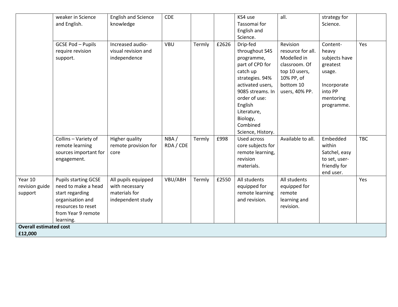|                                          | weaker in Science<br>and English.                                                                                                                  | <b>English and Science</b><br>knowledge                                     | <b>CDE</b>        |        |       | KS4 use<br>Tassomai for<br>English and<br>Science.                                                                                                                                                                         | all.                                                                                                                        | strategy for<br>Science.                                                                                      |            |
|------------------------------------------|----------------------------------------------------------------------------------------------------------------------------------------------------|-----------------------------------------------------------------------------|-------------------|--------|-------|----------------------------------------------------------------------------------------------------------------------------------------------------------------------------------------------------------------------------|-----------------------------------------------------------------------------------------------------------------------------|---------------------------------------------------------------------------------------------------------------|------------|
|                                          | <b>GCSE Pod - Pupils</b><br>require revision<br>support.                                                                                           | Increased audio-<br>visual revision and<br>independence                     | <b>VBU</b>        | Termly | £2626 | Drip-fed<br>throughout S4S<br>programme,<br>part of CPD for<br>catch up<br>strategies. 94%<br>activated users,<br>9085 streams. In<br>order of use:<br>English<br>Literature,<br>Biology,<br>Combined<br>Science, History. | Revision<br>resource for all.<br>Modelled in<br>classroom. Of<br>top 10 users,<br>10% PP, of<br>bottom 10<br>users, 40% PP. | Content-<br>heavy<br>subjects have<br>greatest<br>usage.<br>Incorporate<br>into PP<br>mentoring<br>programme. | Yes        |
|                                          | Collins - Variety of<br>remote learning<br>sources important for<br>engagement.                                                                    | <b>Higher quality</b><br>remote provision for<br>core                       | NBA/<br>RDA / CDE | Termly | £998  | Used across<br>core subjects for<br>remote learning,<br>revision<br>materials.                                                                                                                                             | Available to all.                                                                                                           | Embedded<br>within<br>Satchel, easy<br>to set, user-<br>friendly for<br>end user.                             | <b>TBC</b> |
| Year 10<br>revision guide<br>support     | <b>Pupils starting GCSE</b><br>need to make a head<br>start regarding<br>organisation and<br>resources to reset<br>from Year 9 remote<br>learning. | All pupils equipped<br>with necessary<br>materials for<br>independent study | VBU/ABH           | Termly | £2550 | All students<br>equipped for<br>remote learning<br>and revision.                                                                                                                                                           | All students<br>equipped for<br>remote<br>learning and<br>revision.                                                         |                                                                                                               | Yes        |
| <b>Overall estimated cost</b><br>£12,000 |                                                                                                                                                    |                                                                             |                   |        |       |                                                                                                                                                                                                                            |                                                                                                                             |                                                                                                               |            |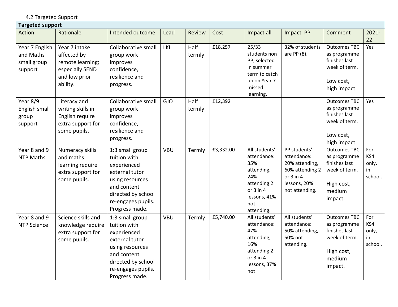4.2 Targeted Support

| <b>Targeted support</b>                               |                                                                                                  |                                                                                                                                                                  |            |                |           |                                                                                                                               |                                                                                                                     |                                                                                                          |                                      |  |  |
|-------------------------------------------------------|--------------------------------------------------------------------------------------------------|------------------------------------------------------------------------------------------------------------------------------------------------------------------|------------|----------------|-----------|-------------------------------------------------------------------------------------------------------------------------------|---------------------------------------------------------------------------------------------------------------------|----------------------------------------------------------------------------------------------------------|--------------------------------------|--|--|
| Action                                                | Rationale                                                                                        | Intended outcome                                                                                                                                                 | Lead       | Review         | Cost      | Impact all                                                                                                                    | Impact PP                                                                                                           | Comment                                                                                                  | $2021 -$<br>22                       |  |  |
| Year 7 English<br>and Maths<br>small group<br>support | Year 7 intake<br>affected by<br>remote learning;<br>especially SEND<br>and low prior<br>ability. | Collaborative small<br>group work<br>improves<br>confidence,<br>resilience and<br>progress.                                                                      | LKI        | Half<br>termly | £18,257   | 25/33<br>students non<br>PP, selected<br>in summer<br>term to catch<br>up on Year 7<br>missed<br>learning.                    | 32% of students<br>are PP (8).                                                                                      | <b>Outcomes TBC</b><br>as programme<br>finishes last<br>week of term.<br>Low cost,<br>high impact.       | Yes                                  |  |  |
| Year 8/9<br>English small<br>group<br>support         | Literacy and<br>writing skills in<br>English require<br>extra support for<br>some pupils.        | Collaborative small<br>group work<br>improves<br>confidence,<br>resilience and<br>progress.                                                                      | <b>GJO</b> | Half<br>termly | £12,392   |                                                                                                                               |                                                                                                                     | <b>Outcomes TBC</b><br>as programme<br>finishes last<br>week of term.<br>Low cost,<br>high impact.       | Yes                                  |  |  |
| Year 8 and 9<br><b>NTP Maths</b>                      | Numeracy skills<br>and maths<br>learning require<br>extra support for<br>some pupils.            | 1:3 small group<br>tuition with<br>experienced<br>external tutor<br>using resources<br>and content<br>directed by school<br>re-engages pupils.<br>Progress made. | <b>VBU</b> | Termly         | £3,332.00 | All students'<br>attendance:<br>35%<br>attending,<br>24%<br>attending 2<br>or $3$ in $4$<br>lessons, 41%<br>not<br>attending. | PP students'<br>attendance:<br>20% attending,<br>60% attending 2<br>or $3$ in $4$<br>lessons, 20%<br>not attending. | <b>Outcomes TBC</b><br>as programme<br>finishes last<br>week of term.<br>High cost,<br>medium<br>impact. | For<br>KS4<br>only,<br>in<br>school. |  |  |
| Year 8 and 9<br><b>NTP Science</b>                    | Science skills and<br>knowledge require<br>extra support for<br>some pupils.                     | 1:3 small group<br>tuition with<br>experienced<br>external tutor<br>using resources<br>and content<br>directed by school<br>re-engages pupils.<br>Progress made. | <b>VBU</b> | Termly         | £5,740.00 | All students'<br>attendance:<br>47%<br>attending,<br>16%<br>attending 2<br>or $3$ in $4$<br>lessons, 37%<br>not               | All students'<br>attendance:<br>50% attending,<br>50% not<br>attending.                                             | <b>Outcomes TBC</b><br>as programme<br>finishes last<br>week of term.<br>High cost,<br>medium<br>impact. | For<br>KS4<br>only,<br>in<br>school. |  |  |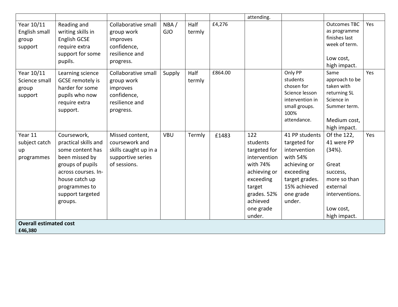|                               |                      |                       |            |        |         | attending.   |                        |                              |     |
|-------------------------------|----------------------|-----------------------|------------|--------|---------|--------------|------------------------|------------------------------|-----|
| Year 10/11                    | Reading and          | Collaborative small   | NBA/       | Half   | £4,276  |              |                        | <b>Outcomes TBC</b>          | Yes |
| English small                 | writing skills in    | group work            | <b>GJO</b> | termly |         |              |                        | as programme                 |     |
| group                         | English GCSE         | improves              |            |        |         |              |                        | finishes last                |     |
| support                       | require extra        | confidence,           |            |        |         |              |                        | week of term.                |     |
|                               | support for some     | resilience and        |            |        |         |              |                        |                              |     |
|                               | pupils.              | progress.             |            |        |         |              |                        | Low cost,                    |     |
|                               |                      |                       |            |        |         |              |                        | high impact.                 |     |
| Year 10/11                    | Learning science     | Collaborative small   | Supply     | Half   | £864.00 |              | Only PP                | Same                         | Yes |
| Science small                 | GCSE remotely is     | group work            |            | termly |         |              | students<br>chosen for | approach to be<br>taken with |     |
| group                         | harder for some      | improves              |            |        |         |              | Science lesson         | returning SL                 |     |
| support                       | pupils who now       | confidence,           |            |        |         |              | intervention in        | Science in                   |     |
|                               | require extra        | resilience and        |            |        |         |              | small groups.          | Summer term.                 |     |
|                               | support.             | progress.             |            |        |         |              | 100%                   |                              |     |
|                               |                      |                       |            |        |         |              | attendance.            | Medium cost,                 |     |
|                               |                      |                       |            |        |         |              |                        | high impact.                 |     |
| Year 11                       | Coursework,          | Missed content,       | <b>VBU</b> | Termly | £1483   | 122          | 41 PP students         | Of the 122,                  | Yes |
| subject catch                 | practical skills and | coursework and        |            |        |         | students     | targeted for           | 41 were PP                   |     |
| up                            | some content has     | skills caught up in a |            |        |         | targeted for | intervention           | $(34%)$ .                    |     |
| programmes                    | been missed by       | supportive series     |            |        |         | intervention | with 54%               |                              |     |
|                               | groups of pupils     | of sessions.          |            |        |         | with 74%     | achieving or           | Great                        |     |
|                               | across courses. In-  |                       |            |        |         | achieving or | exceeding              | success,                     |     |
|                               | house catch up       |                       |            |        |         | exceeding    | target grades.         | more so than                 |     |
|                               | programmes to        |                       |            |        |         | target       | 15% achieved           | external                     |     |
|                               | support targeted     |                       |            |        |         | grades. 52%  | one grade              | interventions.               |     |
|                               | groups.              |                       |            |        |         | achieved     | under.                 |                              |     |
|                               |                      |                       |            |        |         | one grade    |                        | Low cost,                    |     |
|                               |                      |                       |            |        |         | under.       |                        | high impact.                 |     |
| <b>Overall estimated cost</b> |                      |                       |            |        |         |              |                        |                              |     |
| £46,380                       |                      |                       |            |        |         |              |                        |                              |     |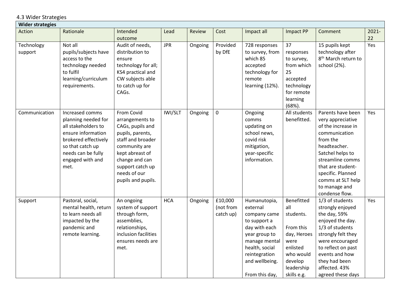4.3 Wider Strategies

| <b>Wider strategies</b> |                                                                                                                                                                                   |                                                                                                                                                                                                            |            |         |                                   |                                                                                                                                                                                    |                                                                                                                                     |                                                                                                                                                                                                                                                     |                |  |
|-------------------------|-----------------------------------------------------------------------------------------------------------------------------------------------------------------------------------|------------------------------------------------------------------------------------------------------------------------------------------------------------------------------------------------------------|------------|---------|-----------------------------------|------------------------------------------------------------------------------------------------------------------------------------------------------------------------------------|-------------------------------------------------------------------------------------------------------------------------------------|-----------------------------------------------------------------------------------------------------------------------------------------------------------------------------------------------------------------------------------------------------|----------------|--|
| Action                  | Rationale                                                                                                                                                                         | Intended<br>outcome                                                                                                                                                                                        | Lead       | Review  | Cost                              | Impact all                                                                                                                                                                         | Impact PP                                                                                                                           | Comment                                                                                                                                                                                                                                             | $2021 -$<br>22 |  |
| Technology<br>support   | Not all<br>pupils/subjects have<br>access to the<br>technology needed<br>to fulfil<br>learning/curriculum<br>requirements.                                                        | Audit of needs,<br>distribution to<br>ensure<br>technology for all;<br>KS4 practical and<br>CW subjects able<br>to catch up for<br>CAGs.                                                                   | <b>JPR</b> | Ongoing | Provided<br>by DfE                | 728 responses<br>to survey, from<br>which 85<br>accepted<br>technology for<br>remote<br>learning (12%).                                                                            | 37<br>responses<br>to survey,<br>from which<br>25<br>accepted<br>technology<br>for remote<br>learning<br>$(68%)$ .                  | 15 pupils kept<br>technology after<br>8 <sup>th</sup> March return to<br>school (2%).                                                                                                                                                               | Yes            |  |
| Communication           | Increased comms<br>planning needed for<br>all stakeholders to<br>ensure information<br>brokered effectively<br>so that catch up<br>needs can be fully<br>engaged with and<br>met. | From Covid<br>arrangements to<br>CAGs, pupils and<br>pupils, parents,<br>staff and broader<br>community are<br>kept abreast of<br>change and can<br>support catch up<br>needs of our<br>pupils and pupils. | IWI/SLT    | Ongoing | $\mathbf 0$                       | Ongoing<br>comms<br>updating on<br>school news,<br>covid risk<br>mitigation,<br>year-specific<br>information.                                                                      | All students<br>benefitted.                                                                                                         | Parents have been<br>very appreciative<br>of the increase in<br>communication<br>from the<br>headteacher.<br>Satchel helps to<br>streamline comms<br>that are student-<br>specific. Planned<br>comms at SLT help<br>to manage and<br>condense flow. | Yes            |  |
| Support                 | Pastoral, social,<br>mental health, return<br>to learn needs all<br>impacted by the<br>pandemic and<br>remote learning.                                                           | An ongoing<br>system of support<br>through form,<br>assemblies,<br>relationships,<br>inclusion facilities<br>ensures needs are<br>met.                                                                     | <b>HCA</b> | Ongoing | £10,000<br>(not from<br>catch up) | Humanutopia,<br>external<br>company came<br>to support a<br>day with each<br>year group to<br>manage mental<br>health, social<br>reintegration<br>and wellbeing.<br>From this day, | Benefitted<br>all<br>students.<br>From this<br>day, Heroes<br>were<br>enlisted<br>who would<br>develop<br>leadership<br>skills e.g. | 1/3 of students<br>strongly enjoyed<br>the day, 59%<br>enjoyed the day.<br>1/3 of students<br>strongly felt they<br>were encouraged<br>to reflect on past<br>events and how<br>they had been<br>affected. 43%<br>agreed these days                  | Yes            |  |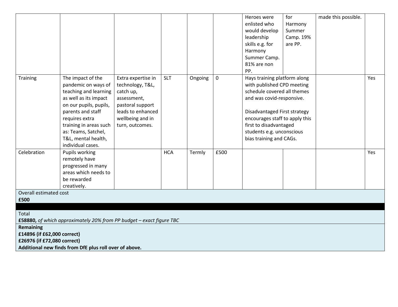|                             |                                                                      |                    |            |         |             | Heroes were                    | for       | made this possible. |     |
|-----------------------------|----------------------------------------------------------------------|--------------------|------------|---------|-------------|--------------------------------|-----------|---------------------|-----|
|                             |                                                                      |                    |            |         |             | enlisted who                   | Harmony   |                     |     |
|                             |                                                                      |                    |            |         |             | would develop                  | Summer    |                     |     |
|                             |                                                                      |                    |            |         |             | leadership                     | Camp. 19% |                     |     |
|                             |                                                                      |                    |            |         |             | skills e.g. for                | are PP.   |                     |     |
|                             |                                                                      |                    |            |         |             | Harmony                        |           |                     |     |
|                             |                                                                      |                    |            |         |             | Summer Camp.                   |           |                     |     |
|                             |                                                                      |                    |            |         |             | 81% are non                    |           |                     |     |
|                             |                                                                      |                    |            |         |             |                                |           |                     |     |
|                             |                                                                      |                    |            |         |             | PP.                            |           |                     |     |
| <b>Training</b>             | The impact of the                                                    | Extra expertise in | <b>SLT</b> | Ongoing | $\mathbf 0$ | Hays training platform along   |           |                     | Yes |
|                             | pandemic on ways of                                                  | technology, T&L,   |            |         |             | with published CPD meeting     |           |                     |     |
|                             | teaching and learning                                                | catch up,          |            |         |             | schedule covered all themes    |           |                     |     |
|                             | as well as its impact                                                | assessment,        |            |         |             | and was covid-responsive.      |           |                     |     |
|                             | on our pupils, pupils,                                               | pastoral support   |            |         |             |                                |           |                     |     |
|                             | parents and staff                                                    | leads to enhanced  |            |         |             | Disadvantaged First strategy   |           |                     |     |
|                             | requires extra                                                       | wellbeing and in   |            |         |             | encourages staff to apply this |           |                     |     |
|                             | training in areas such                                               | turn, outcomes.    |            |         |             | first to disadvantaged         |           |                     |     |
|                             | as: Teams, Satchel,                                                  |                    |            |         |             | students e.g. unconscious      |           |                     |     |
|                             | T&L, mental health,                                                  |                    |            |         |             | bias training and CAGs.        |           |                     |     |
|                             | individual cases.                                                    |                    |            |         |             |                                |           |                     |     |
| Celebration                 | Pupils working                                                       |                    | <b>HCA</b> | Termly  | £500        |                                |           |                     | Yes |
|                             | remotely have                                                        |                    |            |         |             |                                |           |                     |     |
|                             | progressed in many                                                   |                    |            |         |             |                                |           |                     |     |
|                             | areas which needs to                                                 |                    |            |         |             |                                |           |                     |     |
|                             | be rewarded                                                          |                    |            |         |             |                                |           |                     |     |
|                             | creatively.                                                          |                    |            |         |             |                                |           |                     |     |
| Overall estimated cost      |                                                                      |                    |            |         |             |                                |           |                     |     |
| £500                        |                                                                      |                    |            |         |             |                                |           |                     |     |
|                             |                                                                      |                    |            |         |             |                                |           |                     |     |
| Total                       |                                                                      |                    |            |         |             |                                |           |                     |     |
|                             | £58880, of which approximately 20% from PP budget - exact figure TBC |                    |            |         |             |                                |           |                     |     |
| <b>Remaining</b>            |                                                                      |                    |            |         |             |                                |           |                     |     |
| £14896 (if £62,000 correct) |                                                                      |                    |            |         |             |                                |           |                     |     |
| £26976 (if £72,080 correct) |                                                                      |                    |            |         |             |                                |           |                     |     |
|                             |                                                                      |                    |            |         |             |                                |           |                     |     |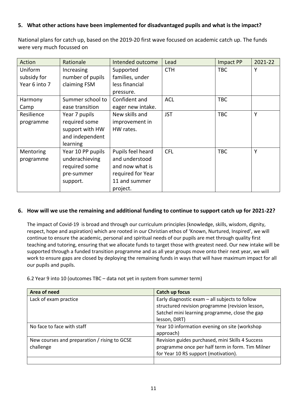#### **5. What other actions have been implemented for disadvantaged pupils and what is the impact?**

National plans for catch up, based on the 2019-20 first wave focused on academic catch up. The funds were very much focussed on

| Action        | Rationale         | Intended outcome  | Lead       | Impact PP  | 2021-22 |
|---------------|-------------------|-------------------|------------|------------|---------|
| Uniform       | Increasing        | Supported         | <b>CTH</b> | <b>TBC</b> | Y       |
| subsidy for   | number of pupils  | families, under   |            |            |         |
| Year 6 into 7 | claiming FSM      | less financial    |            |            |         |
|               |                   | pressure.         |            |            |         |
| Harmony       | Summer school to  | Confident and     | <b>ACL</b> | <b>TBC</b> |         |
| Camp          | ease transition   | eager new intake. |            |            |         |
| Resilience    | Year 7 pupils     | New skills and    | <b>JST</b> | <b>TBC</b> | Y       |
| programme     | required some     | improvement in    |            |            |         |
|               | support with HW   | HW rates.         |            |            |         |
|               | and independent   |                   |            |            |         |
|               | learning          |                   |            |            |         |
| Mentoring     | Year 10 PP pupils | Pupils feel heard | <b>CFL</b> | <b>TBC</b> | Y       |
| programme     | underachieving    | and understood    |            |            |         |
|               | required some     | and now what is   |            |            |         |
|               | pre-summer        | required for Year |            |            |         |
|               | support.          | 11 and summer     |            |            |         |
|               |                   | project.          |            |            |         |

#### **6. How will we use the remaining and additional funding to continue to support catch up for 2021-22?**

The impact of Covid-19 is broad and through our curriculum principles (knowledge, skills, wisdom, dignity, respect, hope and aspiration) which are rooted in our Christian ethos of 'Known, Nurtured, Inspired', we will continue to ensure the academic, personal and spiritual needs of our pupils are met through quality first teaching and tutoring, ensuring that we allocate funds to target those with greatest need. Our new intake will be supported through a funded transition programme and as all year groups move onto their next year, we will work to ensure gaps are closed by deploying the remaining funds in ways that will have maximum impact for all our pupils and pupils.

6.2 Year 9 into 10 (outcomes TBC – data not yet in system from summer term)

| Area of need                                 | Catch up focus                                   |
|----------------------------------------------|--------------------------------------------------|
| Lack of exam practice                        | Early diagnostic exam - all subjects to follow   |
|                                              | structured revision programme (revision lesson,  |
|                                              | Satchel mini learning programme, close the gap   |
|                                              | lesson, DIRT)                                    |
| No face to face with staff                   | Year 10 information evening on site (workshop    |
|                                              | approach)                                        |
| New courses and preparation / rising to GCSE | Revision guides purchased, mini Skills 4 Success |
| challenge                                    | programme once per half term in form. Tim Milner |
|                                              | for Year 10 RS support (motivation).             |
|                                              |                                                  |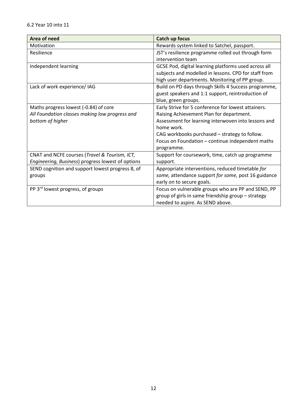| Area of need                                      | <b>Catch up focus</b>                                |
|---------------------------------------------------|------------------------------------------------------|
| Motivation                                        | Rewards system linked to Satchel, passport.          |
| Resilience                                        | JST's resilience programme rolled out through form   |
|                                                   | intervention team                                    |
| Independent learning                              | GCSE Pod, digital learning platforms used across all |
|                                                   | subjects and modelled in lessons. CPD for staff from |
|                                                   | high user departments. Monitoring of PP group.       |
| Lack of work experience/ IAG                      | Build on PD days through Skills 4 Success programme, |
|                                                   | guest speakers and 1:1 support, reintroduction of    |
|                                                   | blue, green groups.                                  |
| Maths progress lowest (-0.84) of core             | Early Strive for 5 conference for lowest attainers.  |
| All Foundation classes making low progress and    | Raising Achievement Plan for department.             |
| bottom of higher                                  | Assessment for learning interwoven into lessons and  |
|                                                   | home work.                                           |
|                                                   | CAG workbooks purchased - strategy to follow.        |
|                                                   | Focus on Foundation - continue independent maths     |
|                                                   | programme.                                           |
| CNAT and NCFE courses (Travel & Tourism, ICT,     | Support for coursework, time, catch up programme     |
| Engineering, Business) progress lowest of options | support.                                             |
| SEND cognition and support lowest progress 8, of  | Appropriate interventions, reduced timetable for     |
| groups                                            | some, attendance support for some, post 16 guidance  |
|                                                   | early on to secure goals.                            |
| PP 3 <sup>rd</sup> lowest progress, of groups     | Focus on vulnerable groups who are PP and SEND, PP   |
|                                                   | group of girls in same friendship group - strategy   |
|                                                   | needed to aspire. As SEND above.                     |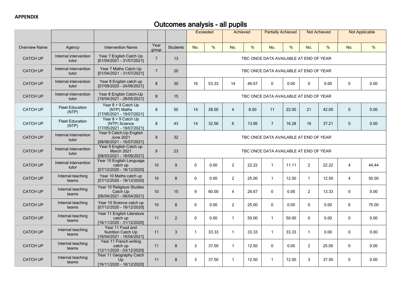# Outcomes analysis - all pupils

|                      |                                 |                                                                            |                |                 |                                        | <b>Exceeded</b>                                                                     | Achieved       |       | <b>Partially Achieved</b>              |       | <b>Not Achieved</b> |       |                | <b>Not Applicable</b> |
|----------------------|---------------------------------|----------------------------------------------------------------------------|----------------|-----------------|----------------------------------------|-------------------------------------------------------------------------------------|----------------|-------|----------------------------------------|-------|---------------------|-------|----------------|-----------------------|
| <b>Overview Name</b> | Agency                          | <b>Intervention Name</b>                                                   | Year<br>group  | <b>Students</b> | No.                                    | $\%$                                                                                | No.            | %     | No.                                    | %     | No.                 | $\%$  | No.            | %                     |
| <b>CATCH UP</b>      | Internal intervention<br>tutor  | Year 7 English Catch Up<br>[01/04/2021 - 31/07/2021]                       | $\overline{7}$ | 13              |                                        |                                                                                     |                |       | TBC ONCE DATA AVAILABLE AT END OF YEAR |       |                     |       |                |                       |
| <b>CATCH UP</b>      | Internal intervention<br>tutor  | Year 7 Maths Catch Up<br>[01/04/2021 - 31/07/2021]                         | $\overline{7}$ | 20              |                                        |                                                                                     |                |       | TBC ONCE DATA AVAILABLE AT END OF YEAR |       |                     |       |                |                       |
| <b>CATCH UP</b>      | Internal intervention<br>tutor  | Year 8 English catch up<br>[07/09/2020 - 24/06/2021]                       | 8              | 30              | 16                                     | 53.33<br>14<br>46.67<br>$\mathbf{0}$<br>0.00<br>$\mathbf{0}$<br>0.00<br>$\mathbf 0$ |                |       |                                        |       |                     |       | 0.00           |                       |
| <b>CATCH UP</b>      | Internal intervention<br>tutor  | Year 8 English Catch-Up<br>[19/04/2021 - 28/05/2021]                       | 8              | 15              | TBC ONCE DATA AVAILABLE AT END OF YEAR |                                                                                     |                |       |                                        |       |                     |       |                |                       |
| <b>CATCH UP</b>      | <b>Fleet Education</b><br>(NTP) | Year 8 + 9 Catch Up<br>(NTP) Maths<br>[17/05/2021 - 19/07/2021]            | 8              | 50              | 14                                     | 28.00                                                                               | $\overline{4}$ | 8.00  | 11                                     | 22.00 | 21                  | 42.00 | $\mathbf 0$    | 0.00                  |
| <b>CATCH UP</b>      | <b>Fleet Education</b><br>(NTP) | Year 8 + 9 Catch Up<br>(NTP) Science<br>[17/05/2021 - 19/07/2021]          | 8              | 43              | 14                                     | 32.56                                                                               | 6              | 13.95 | $\overline{7}$                         | 16.28 | 16                  | 37.21 | $\mathbf{0}$   | 0.00                  |
| <b>CATCH UP</b>      | Internal intervention<br>tutor  | Year 9 Catch-Up English<br><b>June 2021</b><br>[08/06/2021 - 16/07/2021]   | 9              | 32              | TBC ONCE DATA AVAILABLE AT END OF YEAR |                                                                                     |                |       |                                        |       |                     |       |                |                       |
| <b>CATCH UP</b>      | Internal intervention<br>tutor  | Year 9 English Catch up<br>March 2021<br>[08/03/2021 - 18/06/2021]         | 9              | 23              | TBC ONCE DATA AVAILABLE AT END OF YEAR |                                                                                     |                |       |                                        |       |                     |       |                |                       |
| <b>CATCH UP</b>      | Internal intervention<br>tutor  | Year 10 English Language<br>catch up<br>[07/12/2020 - 18/12/2020]          | 10             | 9               | $\mathbf 0$                            | 0.00                                                                                | $\overline{2}$ | 22.22 | $\mathbf{1}$                           | 11.11 | $\overline{2}$      | 22.22 | 4              | 44.44                 |
| <b>CATCH UP</b>      | Internal teaching<br>teams      | Year 10 Maths catch up<br>[07/12/2020 - 18/12/2020]                        | 10             | 8               | $\mathbf 0$                            | 0.00                                                                                | $\overline{2}$ | 25.00 | $\mathbf{1}$                           | 12.50 | $\mathbf{1}$        | 12.50 | $\overline{4}$ | 50.00                 |
| <b>CATCH UP</b>      | Internal teaching<br>teams      | Year 10 Religious Studies<br>Catch Up<br>[06/04/2021 - 06/04/2021]         | 10             | 15              | 9                                      | 60.00                                                                               | $\overline{4}$ | 26.67 | $\mathbf 0$                            | 0.00  | $\overline{2}$      | 13.33 | $\mathbf 0$    | 0.00                  |
| <b>CATCH UP</b>      | Internal teaching<br>teams      | Year 10 Science catch up<br>[07/12/2020 - 18/12/2020]                      | 10             | 8               | $\mathbf 0$                            | 0.00                                                                                | $\overline{2}$ | 25.00 | $\Omega$                               | 0.00  | $\Omega$            | 0.00  | 6              | 75.00                 |
| <b>CATCH UP</b>      | Internal teaching<br>teams      | Year 11 English Literature<br>catch up<br>[16/11/2020 - 31/12/2020]        | 11             | $\overline{2}$  | $\Omega$                               | 0.00                                                                                | $\mathbf{1}$   | 50.00 | $\mathbf{1}$                           | 50.00 | $\Omega$            | 0.00  | $\Omega$       | 0.00                  |
| <b>CATCH UP</b>      | Internal teaching<br>teams      | Year 11 Food and<br><b>Nutrition Catch Up</b><br>[16/04/2021 - 16/04/2021] | 11             | $\sqrt{3}$      | $\mathbf{1}$                           | 33.33                                                                               | $\mathbf{1}$   | 33.33 | $\mathbf{1}$                           | 33.33 | $\mathbf{1}$        | 0.00  | $\mathbf 0$    | 0.00                  |
| <b>CATCH UP</b>      | Internal teaching<br>teams      | Year 11 French writing<br>catch up<br>[12/11/2020 - 03/12/2020]            | 11             | 8               | 3                                      | 37.50                                                                               | $\mathbf{1}$   | 12.50 | 0                                      | 0.00  | 2                   | 25.00 | $\mathbf 0$    | 0.00                  |
| <b>CATCH UP</b>      | Internal teaching<br>teams      | Year 11 Geography Catch<br>Up<br>[16/11/2020 - 18/12/2020]                 | 11             | 8               | 3                                      | 37.50                                                                               | $\mathbf{1}$   | 12.50 | $\mathbf{1}$                           | 12.50 | 3                   | 37.50 | $\mathbf 0$    | 0.00                  |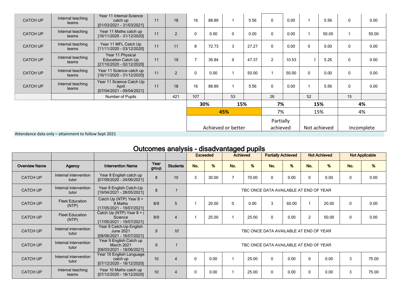| <b>CATCH UP</b> | Internal teaching<br>teams | Year 11 Internal Science<br>catch up<br>[01/03/2021 - 31/03/2021]          | 11 | 18             | 16                 | 88.89 |     | 5.56  | $\mathbf{0}$          | 0.00  |              | 5.56  | $\mathbf{0}$ | 0.00       |
|-----------------|----------------------------|----------------------------------------------------------------------------|----|----------------|--------------------|-------|-----|-------|-----------------------|-------|--------------|-------|--------------|------------|
| <b>CATCH UP</b> | Internal teaching<br>teams | Year 11 Maths catch up<br>[16/11/2020 - 31/12/2020]                        | 11 | $\overline{2}$ | $\mathbf 0$        | 0.00  | 0   | 0.00  | $\mathbf{0}$          | 0.00  |              | 50.00 |              | 50.00      |
| <b>CATCH UP</b> | Internal teaching<br>teams | Year 11 MFL Catch Up<br>[11/11/2020 - 03/12/2020]                          | 11 | 11             | 8                  | 72.73 | 3   | 27.27 | $\mathbf{0}$          | 0.00  | $\mathbf{0}$ | 0.00  | $\Omega$     | 0.00       |
| <b>CATCH UP</b> | Internal teaching<br>teams | Year 11 Physical<br><b>Education Catch Up</b><br>[27/10/2020 - 02/12/2020] | 11 | 19             | $\overline{7}$     | 36.84 | 9   | 47.37 | $\overline{2}$        | 10.53 |              | 5.26  | $\Omega$     | 0.00       |
| <b>CATCH UP</b> | Internal teaching<br>teams | Year 11 Science catch up<br>[16/11/2020 - 31/12/2020]                      | 11 | $\overline{2}$ | $\mathbf 0$        | 0.00  |     | 50.00 |                       | 50.00 | $\mathbf{0}$ | 0.00  | 0            | 0.00       |
| <b>CATCH UP</b> | Internal teaching<br>teams | Year 11 Science Catch Up<br>April<br>[07/04/2021 - 09/04/2021]             | 11 | 18             | 16                 | 88.89 |     | 5.56  | $\mathbf{0}$          | 0.00  |              | 5.56  | 0            | 0.00       |
|                 |                            | Number of Pupils                                                           |    | 421            | 107                |       | 53  |       | 26                    |       | 52           |       | 15           |            |
|                 |                            |                                                                            |    |                |                    | 30%   | 15% |       | 7%                    |       | 15%          |       | 4%           |            |
|                 |                            |                                                                            |    |                |                    |       | 45% |       | 7%                    |       | 15%          |       | 4%           |            |
|                 |                            |                                                                            |    |                | Achieved or better |       |     |       | Partially<br>achieved |       | Not achieved |       |              | Incomplete |

Attendance data only – attainment to follow Sept 2021

| Outcomes analysis - disadvantaged pupils |                                 |                                                                          |               |                 |                                        |       |                |                           |     |                     |                |       |                       |       |
|------------------------------------------|---------------------------------|--------------------------------------------------------------------------|---------------|-----------------|----------------------------------------|-------|----------------|---------------------------|-----|---------------------|----------------|-------|-----------------------|-------|
|                                          |                                 |                                                                          |               |                 | <b>Achieved</b><br><b>Exceeded</b>     |       |                | <b>Partially Achieved</b> |     | <b>Not Achieved</b> |                |       | <b>Not Applicable</b> |       |
| <b>Overview Name</b>                     | <b>Agency</b>                   | <b>Intervention Name</b>                                                 | Year<br>group | <b>Students</b> | No.                                    | %     | No.            | %                         | No. | %                   | No.            | %     | No.                   | %     |
| <b>CATCH UP</b>                          | Internal intervention<br>tutor  | Year 8 English catch up<br>[07/09/2020 - 24/06/2021]                     | 8             | 10              | 3                                      | 30.00 | $\overline{7}$ | 70.00                     | 0   | 0.00                | 0              | 0.00  | 0                     | 0.00  |
| <b>CATCH UP</b>                          | Internal intervention<br>tutor  | Year 8 English Catch-Up<br>[19/04/2021 - 28/05/2021]                     | $\mathbf{8}$  |                 | TBC ONCE DATA AVAILABLE AT END OF YEAR |       |                |                           |     |                     |                |       |                       |       |
| <b>CATCH UP</b>                          | <b>Fleet Education</b><br>(NTP) | Catch Up (NTP) Year 8 +<br>9 Maths<br>[17/05/2021 - 19/07/2021]          | 8/9           | 5               |                                        | 20.00 | 0              | 0.00                      | 3   | 60.00               |                | 20.00 | 0                     | 0.00  |
| <b>CATCH UP</b>                          | <b>Fleet Education</b><br>(NTP) | Catch Up (NTP) Year 8 + (<br>Science<br>[17/05/2021 - 19/07/2021]        | 8/9           | $\overline{4}$  |                                        | 25.00 |                | 25.00                     | 0   | 0.00                | $\overline{2}$ | 50.00 | 0                     | 0.00  |
| <b>CATCH UP</b>                          | Internal intervention<br>tutor  | Year 9 Catch-Up English<br><b>June 2021</b><br>[08/06/2021 - 16/07/2021] | 9             | 10              | TBC ONCE DATA AVAILABLE AT END OF YEAR |       |                |                           |     |                     |                |       |                       |       |
| <b>CATCH UP</b>                          | Internal intervention<br>tutor  | Year 9 English Catch up<br>March 2021<br>[08/03/2021 - 18/06/2021]       | 9             |                 | TBC ONCE DATA AVAILABLE AT END OF YEAR |       |                |                           |     |                     |                |       |                       |       |
| <b>CATCH UP</b>                          | Internal intervention<br>tutor  | Year 10 English Language<br>catch up<br>[07/12/2020 - 18/12/2020]        | 10            | 4               | $\mathbf 0$                            | 0.00  | $\mathbf{1}$   | 25.00                     | 0   | 0.00                | $\mathbf{0}$   | 0.00  | 3                     | 75.00 |
| <b>CATCH UP</b>                          | Internal teaching<br>teams      | Year 10 Maths catch up<br>[07/12/2020 - 18/12/2020]                      | 10            | 4               | 0                                      | 0.00  |                | 25.00                     | 0   | 0.00                | 0              | 0.00  | 3                     | 75.00 |